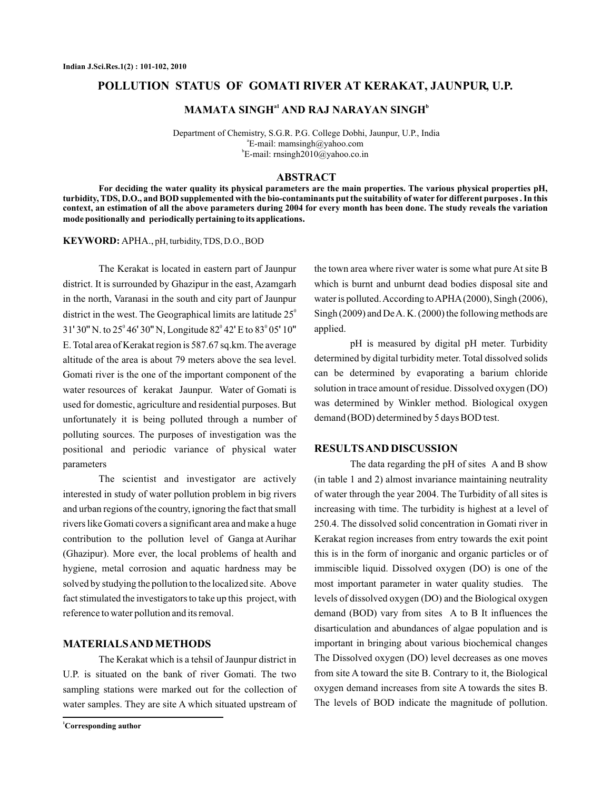### **POLLUTION STATUS OF GOMATI RIVER AT KERAKAT, JAUNPUR, U.P.**

# **MAMATA SINGH<sup>a1</sup> AND RAJ NARAYAN SINGH<sup>b</sup>**

Department of Chemistry, S.G.R. P.G. College Dobhi, Jaunpur, U.P., India a E-mail: mamsingh@yahoo.com b E-mail: rnsingh2010@yahoo.co.in

#### **ABSTRACT**

**For deciding the water quality its physical parameters are the main properties. The various physical properties pH, turbidity, TDS, D.O., and BOD supplemented with the bio-contaminants put the suitability of water for different purposes . In this context, an estimation of all the above parameters during 2004 for every month has been done. The study reveals the variation mode positionally and periodically pertaining to its applications.**

APHA., pH, turbidity, TDS, D.O., BOD **KEYWORD:**

district in the west. The Geographical limits are latitude  $25^\circ$ 31'30" N. to 25° 46' 30" N, Longitude  $82^{\circ}$  42' E to  $83^{\circ}$  05' 10" The Kerakat is located in eastern part of Jaunpur district. It is surrounded by Ghazipur in the east, Azamgarh in the north, Varanasi in the south and city part of Jaunpur E. Total area of Kerakat region is 587.67 sq.km. The average altitude of the area is about 79 meters above the sea level. Gomati river is the one of the important component of the water resources of kerakat Jaunpur. Water of Gomati is used for domestic, agriculture and residential purposes. But unfortunately it is being polluted through a number of polluting sources. The purposes of investigation was the positional and periodic variance of physical water parameters

The scientist and investigator are actively interested in study of water pollution problem in big rivers and urban regions of the country, ignoring the fact that small rivers like Gomati covers a significant area and make a huge contribution to the pollution level of Ganga at Aurihar (Ghazipur). More ever, the local problems of health and hygiene, metal corrosion and aquatic hardness may be solved by studying the pollution to the localized site. Above fact stimulated the investigators to take up this project, with reference to water pollution and its removal.

#### **MATERIALSAND METHODS**

The Kerakat which is a tehsil of Jaunpur district in U.P. is situated on the bank of river Gomati. The two sampling stations were marked out for the collection of water samples. They are site A which situated upstream of

**<sup>1</sup>Corresponding author**

the town area where river water is some what pure At site B which is burnt and unburnt dead bodies disposal site and water is polluted. According to APHA(2000), Singh (2006), Singh (2009) and DeA. K. (2000) the following methods are applied.

pH is measured by digital pH meter. Turbidity determined by digital turbidity meter. Total dissolved solids can be determined by evaporating a barium chloride solution in trace amount of residue. Dissolved oxygen (DO) was determined by Winkler method. Biological oxygen demand (BOD) determined by 5 days BOD test.

#### **RESULTSAND DISCUSSION**

The data regarding the pH of sites A and B show (in table 1 and 2) almost invariance maintaining neutrality of water through the year 2004. The Turbidity of all sites is increasing with time. The turbidity is highest at a level of 250.4. The dissolved solid concentration in Gomati river in Kerakat region increases from entry towards the exit point this is in the form of inorganic and organic particles or of immiscible liquid. Dissolved oxygen (DO) is one of the most important parameter in water quality studies. The levels of dissolved oxygen (DO) and the Biological oxygen demand (BOD) vary from sites A to B It influences the disarticulation and abundances of algae population and is important in bringing about various biochemical changes The Dissolved oxygen (DO) level decreases as one moves from site A toward the site B. Contrary to it, the Biological oxygen demand increases from site A towards the sites B. The levels of BOD indicate the magnitude of pollution.